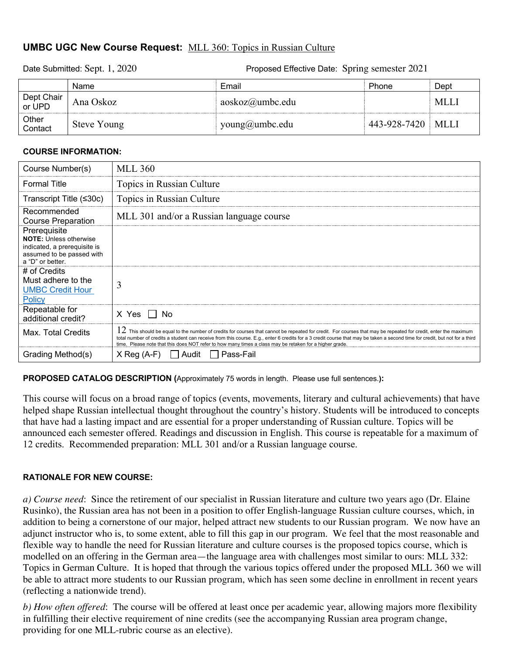# **UMBC UGC New Course Request:** MLL 360: Topics in Russian Culture

Date Submitted: Sept. 1, 2020 Proposed Effective Date: Spring semester 2021

|                      | Name        | Email                    | Phone        | Dept       |
|----------------------|-------------|--------------------------|--------------|------------|
| Dept Chair<br>or UPD | Ana Oskoz   | $a$ oskoz $(a)$ umbc.edu |              | <b>MLL</b> |
| Other<br>Contact     | Steve Young | young@umbc.edu           | 443-928-7420 | MLLI       |

## **COURSE INFORMATION:**

| Course Number(s)                                                                                                               | <b>MLL 360</b>                                                                                                                                                                                                                                                                                                                                                                                                                                                |
|--------------------------------------------------------------------------------------------------------------------------------|---------------------------------------------------------------------------------------------------------------------------------------------------------------------------------------------------------------------------------------------------------------------------------------------------------------------------------------------------------------------------------------------------------------------------------------------------------------|
| <b>Formal Title</b>                                                                                                            | Topics in Russian Culture                                                                                                                                                                                                                                                                                                                                                                                                                                     |
| Transcript Title $($                                                                                                           | Topics in Russian Culture                                                                                                                                                                                                                                                                                                                                                                                                                                     |
| Recommended<br><b>Course Preparation</b>                                                                                       | MLL 301 and/or a Russian language course                                                                                                                                                                                                                                                                                                                                                                                                                      |
| Prerequisite<br><b>NOTE:</b> Unless otherwise<br>indicated, a prerequisite is<br>assumed to be passed with<br>a "D" or better. |                                                                                                                                                                                                                                                                                                                                                                                                                                                               |
| # of Credits<br>Must adhere to the<br><b>UMBC Credit Hour</b><br><b>Policy</b>                                                 | 3                                                                                                                                                                                                                                                                                                                                                                                                                                                             |
| Repeatable for<br>additional credit?                                                                                           | X Yes     No                                                                                                                                                                                                                                                                                                                                                                                                                                                  |
| Max. Total Credits                                                                                                             | $12\,$ This should be equal to the number of credits for courses that cannot be repeated for credit. For courses that may be repeated for credit, enter the maximum<br>total number of credits a student can receive from this course. E.g., enter 6 credits for a 3 credit course that may be taken a second time for credit, but not for a third<br>time. Please note that this does NOT refer to how many times a class may be retaken for a higher grade. |
| Grading Method(s)                                                                                                              | Pass-Fail<br>$X$ Reg (A-F)<br>Audit                                                                                                                                                                                                                                                                                                                                                                                                                           |

**PROPOSED CATALOG DESCRIPTION (**Approximately 75 words in length. Please use full sentences.**):**

This course will focus on a broad range of topics (events, movements, literary and cultural achievements) that have helped shape Russian intellectual thought throughout the country's history. Students will be introduced to concepts that have had a lasting impact and are essential for a proper understanding of Russian culture. Topics will be announced each semester offered. Readings and discussion in English. This course is repeatable for a maximum of 12 credits. Recommended preparation: MLL 301 and/or a Russian language course.

# **RATIONALE FOR NEW COURSE:**

*a) Course need*: Since the retirement of our specialist in Russian literature and culture two years ago (Dr. Elaine Rusinko), the Russian area has not been in a position to offer English-language Russian culture courses, which, in addition to being a cornerstone of our major, helped attract new students to our Russian program. We now have an adjunct instructor who is, to some extent, able to fill this gap in our program. We feel that the most reasonable and flexible way to handle the need for Russian literature and culture courses is the proposed topics course, which is modelled on an offering in the German area—the language area with challenges most similar to ours: MLL 332: Topics in German Culture. It is hoped that through the various topics offered under the proposed MLL 360 we will be able to attract more students to our Russian program, which has seen some decline in enrollment in recent years (reflecting a nationwide trend).

*b) How often offered*: The course will be offered at least once per academic year, allowing majors more flexibility in fulfilling their elective requirement of nine credits (see the accompanying Russian area program change, providing for one MLL-rubric course as an elective).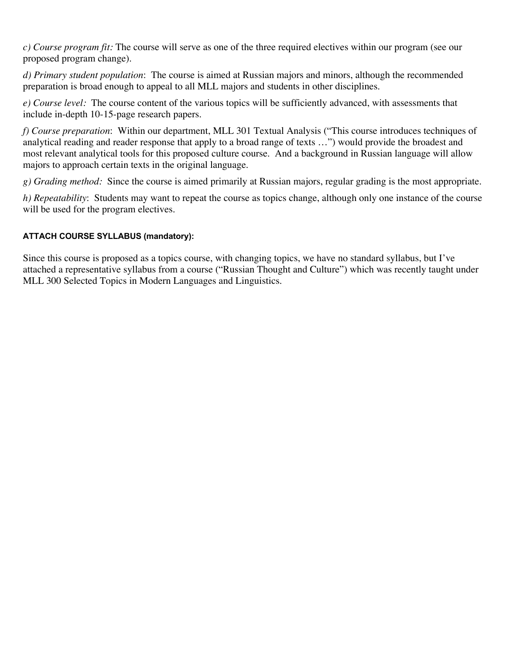*c) Course program fit:* The course will serve as one of the three required electives within our program (see our proposed program change).

*d) Primary student population*: The course is aimed at Russian majors and minors, although the recommended preparation is broad enough to appeal to all MLL majors and students in other disciplines.

*e) Course level:* The course content of the various topics will be sufficiently advanced, with assessments that include in-depth 10-15-page research papers.

*f) Course preparation*: Within our department, MLL 301 Textual Analysis ("This course introduces techniques of analytical reading and reader response that apply to a broad range of texts …") would provide the broadest and most relevant analytical tools for this proposed culture course. And a background in Russian language will allow majors to approach certain texts in the original language.

*g) Grading method:* Since the course is aimed primarily at Russian majors, regular grading is the most appropriate.

*h) Repeatability*: Students may want to repeat the course as topics change, although only one instance of the course will be used for the program electives.

# **ATTACH COURSE SYLLABUS (mandatory):**

Since this course is proposed as a topics course, with changing topics, we have no standard syllabus, but I've attached a representative syllabus from a course ("Russian Thought and Culture") which was recently taught under MLL 300 Selected Topics in Modern Languages and Linguistics.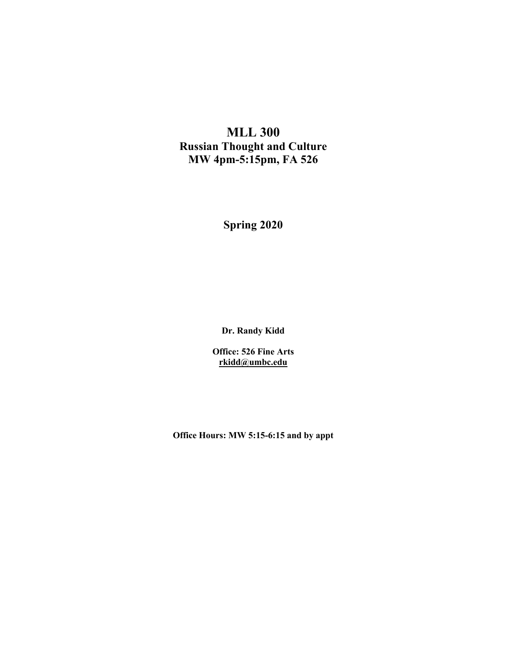# **MLL 300 Russian Thought and Culture MW 4pm-5:15pm, FA 526**

**Spring 2020**

**Dr. Randy Kidd**

**Office: 526 Fine Arts rkidd@umbc.edu**

**Office Hours: MW 5:15-6:15 and by appt**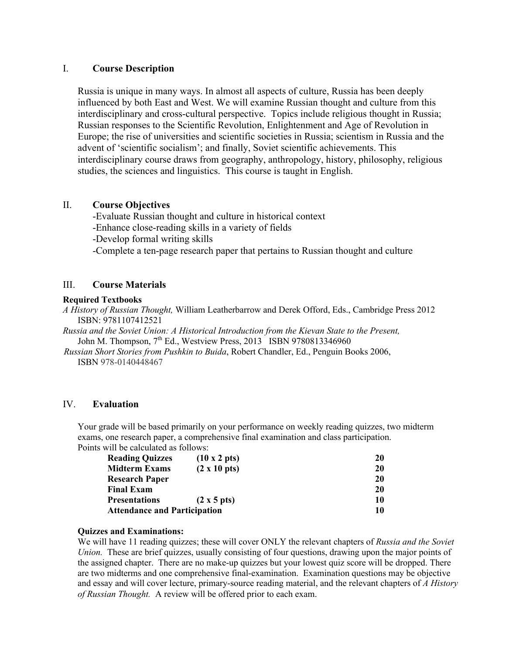## I. **Course Description**

Russia is unique in many ways. In almost all aspects of culture, Russia has been deeply influenced by both East and West. We will examine Russian thought and culture from this interdisciplinary and cross-cultural perspective. Topics include religious thought in Russia; Russian responses to the Scientific Revolution, Enlightenment and Age of Revolution in Europe; the rise of universities and scientific societies in Russia; scientism in Russia and the advent of 'scientific socialism'; and finally, Soviet scientific achievements. This interdisciplinary course draws from geography, anthropology, history, philosophy, religious studies, the sciences and linguistics. This course is taught in English.

## II. **Course Objectives**

-Evaluate Russian thought and culture in historical context

-Enhance close-reading skills in a variety of fields

-Develop formal writing skills

-Complete a ten-page research paper that pertains to Russian thought and culture

## III. **Course Materials**

#### **Required Textbooks**

*A History of Russian Thought,* William Leatherbarrow and Derek Offord, Eds., Cambridge Press 2012 ISBN: 9781107412521

*Russia and the Soviet Union: A Historical Introduction from the Kievan State to the Present,*  John M. Thompson, 7<sup>th</sup> Ed., Westview Press, 2013 ISBN 9780813346960

 *Russian Short Stories from Pushkin to Buida*, Robert Chandler, Ed., Penguin Books 2006, ISBN 978-0140448467

## IV. **Evaluation**

Your grade will be based primarily on your performance on weekly reading quizzes, two midterm exams, one research paper, a comprehensive final examination and class participation. Points will be calculated as follows:

| <b>Reading Quizzes</b>              | $(10 \times 2 \text{ pts})$ | 20 |
|-------------------------------------|-----------------------------|----|
| <b>Midterm Exams</b>                | $(2 \times 10 \text{ pts})$ | 20 |
| <b>Research Paper</b>               |                             | 20 |
| <b>Final Exam</b>                   |                             | 20 |
| <b>Presentations</b>                | $(2 \times 5 \text{ pts})$  | 10 |
| <b>Attendance and Participation</b> | 10                          |    |

#### **Quizzes and Examinations:**

We will have 11 reading quizzes; these will cover ONLY the relevant chapters of *Russia and the Soviet Union.* These are brief quizzes, usually consisting of four questions, drawing upon the major points of the assigned chapter. There are no make-up quizzes but your lowest quiz score will be dropped. There are two midterms and one comprehensive final-examination. Examination questions may be objective and essay and will cover lecture, primary-source reading material, and the relevant chapters of *A History of Russian Thought.* A review will be offered prior to each exam.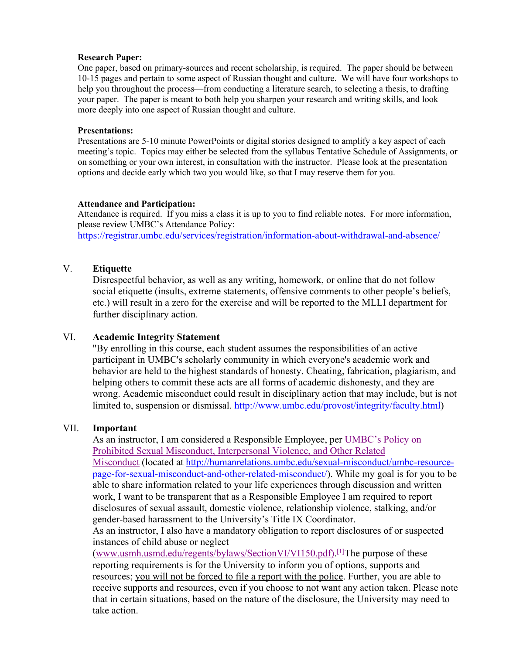#### **Research Paper:**

One paper, based on primary-sources and recent scholarship, is required. The paper should be between 10-15 pages and pertain to some aspect of Russian thought and culture. We will have four workshops to help you throughout the process—from conducting a literature search, to selecting a thesis, to drafting your paper. The paper is meant to both help you sharpen your research and writing skills, and look more deeply into one aspect of Russian thought and culture.

#### **Presentations:**

Presentations are 5-10 minute PowerPoints or digital stories designed to amplify a key aspect of each meeting's topic. Topics may either be selected from the syllabus Tentative Schedule of Assignments, or on something or your own interest, in consultation with the instructor. Please look at the presentation options and decide early which two you would like, so that I may reserve them for you.

#### **Attendance and Participation:**

Attendance is required. If you miss a class it is up to you to find reliable notes. For more information, please review UMBC's Attendance Policy:

https://registrar.umbc.edu/services/registration/information-about-withdrawal-and-absence/

## V. **Etiquette**

Disrespectful behavior, as well as any writing, homework, or online that do not follow social etiquette (insults, extreme statements, offensive comments to other people's beliefs, etc.) will result in a zero for the exercise and will be reported to the MLLI department for further disciplinary action.

# VI. **Academic Integrity Statement**

"By enrolling in this course, each student assumes the responsibilities of an active participant in UMBC's scholarly community in which everyone's academic work and behavior are held to the highest standards of honesty. Cheating, fabrication, plagiarism, and helping others to commit these acts are all forms of academic dishonesty, and they are wrong. Academic misconduct could result in disciplinary action that may include, but is not limited to, suspension or dismissal. http://www.umbc.edu/provost/integrity/faculty.html)

#### VII. **Important**

As an instructor, I am considered a Responsible Employee, per UMBC's Policy on Prohibited Sexual Misconduct, Interpersonal Violence, and Other Related Misconduct (located at http://humanrelations.umbc.edu/sexual-misconduct/umbc-resourcepage-for-sexual-misconduct-and-other-related-misconduct/). While my goal is for you to be able to share information related to your life experiences through discussion and written work, I want to be transparent that as a Responsible Employee I am required to report disclosures of sexual assault, domestic violence, relationship violence, stalking, and/or gender-based harassment to the University's Title IX Coordinator.

As an instructor, I also have a mandatory obligation to report disclosures of or suspected instances of child abuse or neglect

(www.usmh.usmd.edu/regents/bylaws/SectionVI/VI150.pdf).<sup>[1]</sup>The purpose of these reporting requirements is for the University to inform you of options, supports and resources; you will not be forced to file a report with the police. Further, you are able to receive supports and resources, even if you choose to not want any action taken. Please note that in certain situations, based on the nature of the disclosure, the University may need to take action.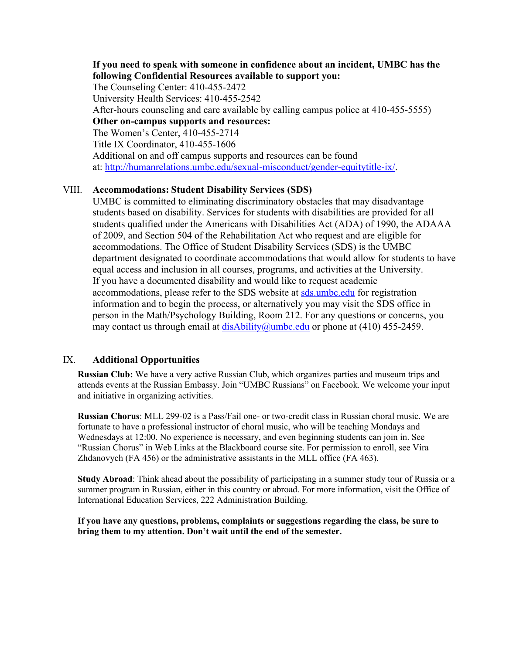**If you need to speak with someone in confidence about an incident, UMBC has the following Confidential Resources available to support you:** The Counseling Center: 410-455-2472 University Health Services: 410-455-2542 After-hours counseling and care available by calling campus police at 410-455-5555) **Other on-campus supports and resources:** The Women's Center, 410-455-2714 Title IX Coordinator, 410-455-1606 Additional on and off campus supports and resources can be found at: http://humanrelations.umbc.edu/sexual-misconduct/gender-equitytitle-ix/.

## VIII. **Accommodations: Student Disability Services (SDS)**

UMBC is committed to eliminating discriminatory obstacles that may disadvantage students based on disability. Services for students with disabilities are provided for all students qualified under the Americans with Disabilities Act (ADA) of 1990, the ADAAA of 2009, and Section 504 of the Rehabilitation Act who request and are eligible for accommodations. The Office of Student Disability Services (SDS) is the UMBC department designated to coordinate accommodations that would allow for students to have equal access and inclusion in all courses, programs, and activities at the University. If you have a documented disability and would like to request academic accommodations, please refer to the SDS website at sds.umbc.edu for registration information and to begin the process, or alternatively you may visit the SDS office in person in the Math/Psychology Building, Room 212. For any questions or concerns, you may contact us through email at  $disability@umbc.edu$  or phone at (410) 455-2459.

#### IX. **Additional Opportunities**

**Russian Club:** We have a very active Russian Club, which organizes parties and museum trips and attends events at the Russian Embassy. Join "UMBC Russians" on Facebook. We welcome your input and initiative in organizing activities.

**Russian Chorus**: MLL 299-02 is a Pass/Fail one- or two-credit class in Russian choral music. We are fortunate to have a professional instructor of choral music, who will be teaching Mondays and Wednesdays at 12:00. No experience is necessary, and even beginning students can join in. See "Russian Chorus" in Web Links at the Blackboard course site. For permission to enroll, see Vira Zhdanovych (FA 456) or the administrative assistants in the MLL office (FA 463).

**Study Abroad**: Think ahead about the possibility of participating in a summer study tour of Russia or a summer program in Russian, either in this country or abroad. For more information, visit the Office of International Education Services, 222 Administration Building.

**If you have any questions, problems, complaints or suggestions regarding the class, be sure to bring them to my attention. Don't wait until the end of the semester.**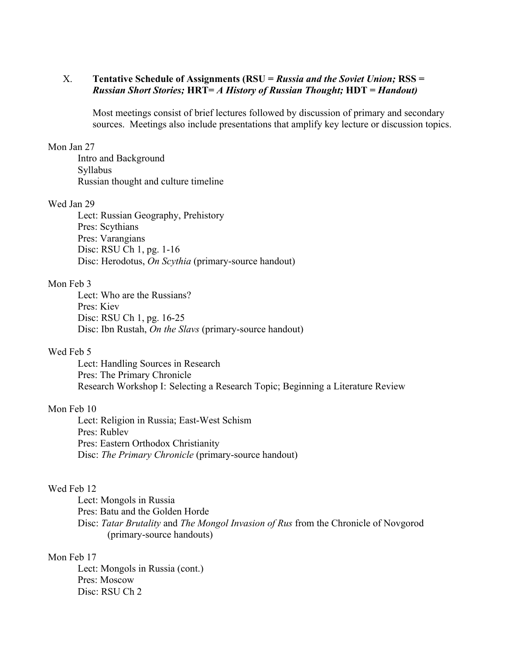# X. **Tentative Schedule of Assignments (RSU =** *Russia and the Soviet Union;* **RSS =**  *Russian Short Stories;* **HRT=** *A History of Russian Thought;* **HDT =** *Handout)*

Most meetings consist of brief lectures followed by discussion of primary and secondary sources. Meetings also include presentations that amplify key lecture or discussion topics.

#### Mon Jan 27

Intro and Background Syllabus Russian thought and culture timeline

# Wed Jan 29

Lect: Russian Geography, Prehistory Pres: Scythians Pres: Varangians Disc: RSU Ch 1, pg. 1-16 Disc: Herodotus, *On Scythia* (primary-source handout)

## Mon Feb 3

Lect: Who are the Russians? Pres: Kiev Disc: RSU Ch 1, pg. 16-25 Disc: Ibn Rustah, *On the Slavs* (primary-source handout)

## Wed Feb 5

Lect: Handling Sources in Research Pres: The Primary Chronicle Research Workshop I: Selecting a Research Topic; Beginning a Literature Review

#### Mon Feb 10

Lect: Religion in Russia; East-West Schism Pres: Rublev Pres: Eastern Orthodox Christianity Disc: *The Primary Chronicle* (primary-source handout)

#### Wed Feb 12

Lect: Mongols in Russia

Pres: Batu and the Golden Horde

Disc: *Tatar Brutality* and *The Mongol Invasion of Rus* from the Chronicle of Novgorod (primary-source handouts)

#### Mon Feb 17

Lect: Mongols in Russia (cont.) Pres: Moscow Disc: RSU Ch 2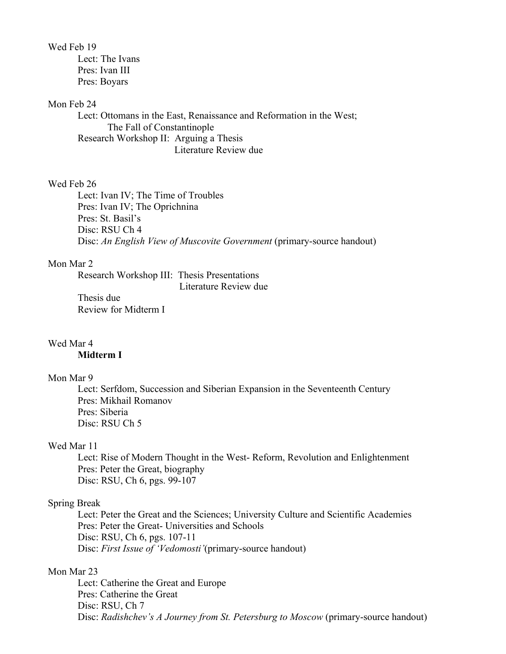Wed Feb 19

Lect: The Ivans Pres: Ivan III Pres: Boyars

#### Mon Feb 24

Lect: Ottomans in the East, Renaissance and Reformation in the West; The Fall of Constantinople Research Workshop II: Arguing a Thesis Literature Review due

## Wed Feb 26

Lect: Ivan IV; The Time of Troubles Pres: Ivan IV; The Oprichnina Pres: St. Basil's Disc: RSU Ch 4 Disc: *An English View of Muscovite Government* (primary-source handout)

## Mon Mar 2

Research Workshop III: Thesis Presentations Literature Review due

Thesis due Review for Midterm I

## Wed Mar 4

# **Midterm I**

#### Mon Mar 9

Lect: Serfdom, Succession and Siberian Expansion in the Seventeenth Century Pres: Mikhail Romanov Pres: Siberia Disc: RSU Ch 5

# Wed Mar 11

Lect: Rise of Modern Thought in the West- Reform, Revolution and Enlightenment Pres: Peter the Great, biography Disc: RSU, Ch 6, pgs. 99-107

## Spring Break

Lect: Peter the Great and the Sciences; University Culture and Scientific Academies Pres: Peter the Great- Universities and Schools Disc: RSU, Ch 6, pgs. 107-11 Disc: *First Issue of 'Vedomosti'*(primary-source handout)

## Mon Mar 23

Lect: Catherine the Great and Europe Pres: Catherine the Great Disc: RSU, Ch 7 Disc: *Radishchev's A Journey from St. Petersburg to Moscow* (primary-source handout)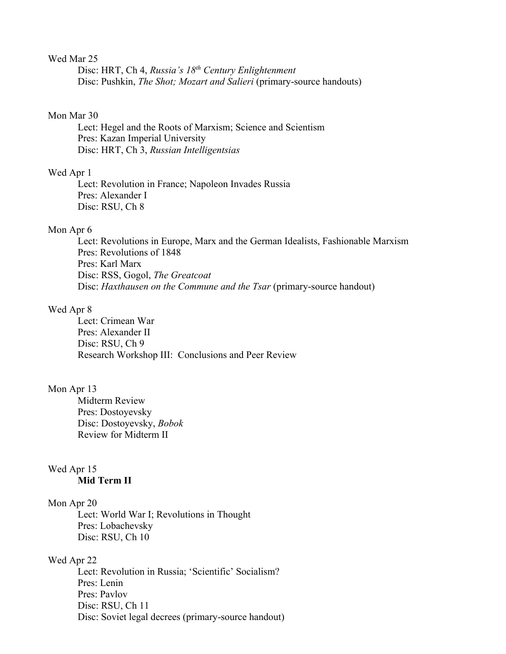#### Wed Mar 25

Disc: HRT, Ch 4, *Russia's 18th Century Enlightenment* Disc: Pushkin, *The Shot; Mozart and Salieri* (primary-source handouts)

#### Mon Mar 30

Lect: Hegel and the Roots of Marxism; Science and Scientism Pres: Kazan Imperial University Disc: HRT, Ch 3, *Russian Intelligentsias*

#### Wed Apr 1

Lect: Revolution in France; Napoleon Invades Russia Pres: Alexander I Disc: RSU, Ch 8

#### Mon Apr 6

Lect: Revolutions in Europe, Marx and the German Idealists, Fashionable Marxism Pres: Revolutions of 1848 Pres: Karl Marx Disc: RSS, Gogol, *The Greatcoat* Disc: *Haxthausen on the Commune and the Tsar* (primary-source handout)

#### Wed Apr 8

Lect: Crimean War Pres: Alexander II Disc: RSU, Ch 9 Research Workshop III: Conclusions and Peer Review

# Mon Apr 13

Midterm Review Pres: Dostoyevsky Disc: Dostoyevsky, *Bobok* Review for Midterm II

#### Wed Apr 15 **Mid Term II**

#### Mon Apr 20

Lect: World War I; Revolutions in Thought Pres: Lobachevsky Disc: RSU, Ch 10

#### Wed Apr 22

Lect: Revolution in Russia; 'Scientific' Socialism? Pres: Lenin Pres: Pavlov Disc: RSU, Ch 11 Disc: Soviet legal decrees (primary-source handout)